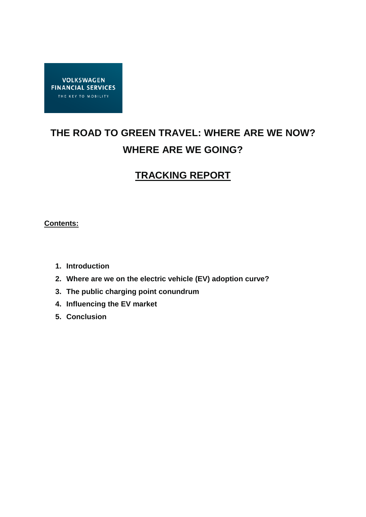

# **THE ROAD TO GREEN TRAVEL: WHERE ARE WE NOW? WHERE ARE WE GOING?**

## **TRACKING REPORT**

### **Contents:**

- **1. Introduction**
- **2. Where are we on the electric vehicle (EV) adoption curve?**
- **3. The public charging point conundrum**
- **4. Influencing the EV market**
- **5. Conclusion**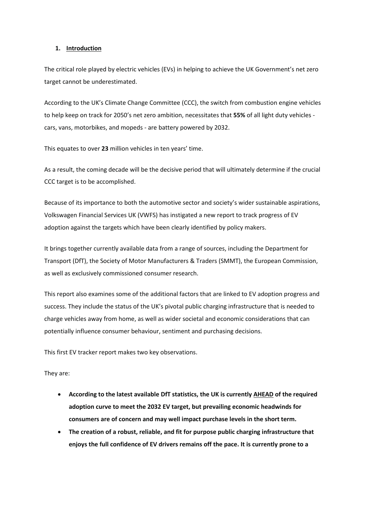#### **1. Introduction**

The critical role played by electric vehicles (EVs) in helping to achieve the UK Government's net zero target cannot be underestimated.

According to the UK's Climate Change Committee (CCC), the switch from combustion engine vehicles to help keep on track for 2050's net zero ambition, necessitates that **55%** of all light duty vehicles cars, vans, motorbikes, and mopeds - are battery powered by 2032.

This equates to over **23** million vehicles in ten years' time.

As a result, the coming decade will be the decisive period that will ultimately determine if the crucial CCC target is to be accomplished.

Because of its importance to both the automotive sector and society's wider sustainable aspirations, Volkswagen Financial Services UK (VWFS) has instigated a new report to track progress of EV adoption against the targets which have been clearly identified by policy makers.

It brings together currently available data from a range of sources, including the Department for Transport (DfT), the Society of Motor Manufacturers & Traders (SMMT), the European Commission, as well as exclusively commissioned consumer research.

This report also examines some of the additional factors that are linked to EV adoption progress and success. They include the status of the UK's pivotal public charging infrastructure that is needed to charge vehicles away from home, as well as wider societal and economic considerations that can potentially influence consumer behaviour, sentiment and purchasing decisions.

This first EV tracker report makes two key observations.

They are:

- **According to the latest available DfT statistics, the UK is currently AHEAD of the required adoption curve to meet the 2032 EV target, but prevailing economic headwinds for consumers are of concern and may well impact purchase levels in the short term.**
- **The creation of a robust, reliable, and fit for purpose public charging infrastructure that enjoys the full confidence of EV drivers remains off the pace. It is currently prone to a**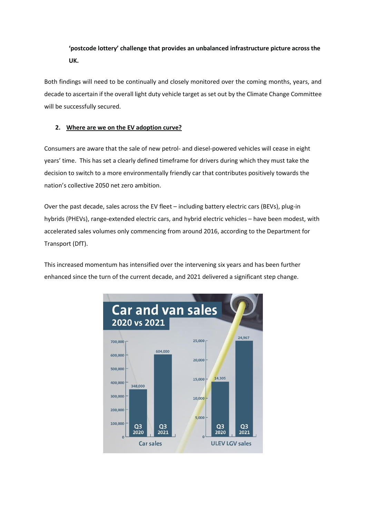## **'postcode lottery' challenge that provides an unbalanced infrastructure picture across the UK.**

Both findings will need to be continually and closely monitored over the coming months, years, and decade to ascertain if the overall light duty vehicle target as set out by the Climate Change Committee will be successfully secured.

#### **2. Where are we on the EV adoption curve?**

Consumers are aware that the sale of new petrol- and diesel-powered vehicles will cease in eight years' time. This has set a clearly defined timeframe for drivers during which they must take the decision to switch to a more environmentally friendly car that contributes positively towards the nation's collective 2050 net zero ambition.

Over the past decade, sales across the EV fleet – including battery electric cars (BEVs), plug-in hybrids (PHEVs), range-extended electric cars, and hybrid electric vehicles – have been modest, with accelerated sales volumes only commencing from around 2016, according to the Department for Transport (DfT).

This increased momentum has intensified over the intervening six years and has been further enhanced since the turn of the current decade, and 2021 delivered a significant step change.

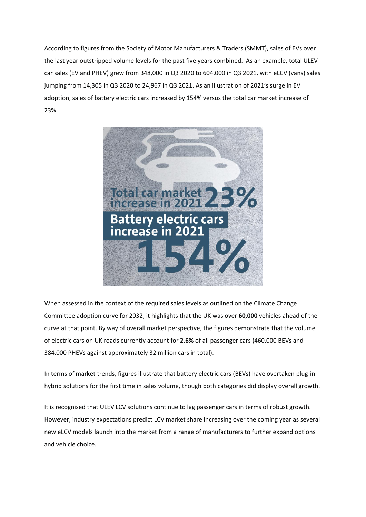According to figures from the Society of Motor Manufacturers & Traders (SMMT), sales of EVs over the last year outstripped volume levels for the past five years combined. As an example, total ULEV car sales (EV and PHEV) grew from 348,000 in Q3 2020 to 604,000 in Q3 2021, with eLCV (vans) sales jumping from 14,305 in Q3 2020 to 24,967 in Q3 2021. As an illustration of 2021's surge in EV adoption, sales of battery electric cars increased by 154% versus the total car market increase of 23%.



When assessed in the context of the required sales levels as outlined on the Climate Change Committee adoption curve for 2032, it highlights that the UK was over **60,000** vehicles ahead of the curve at that point. By way of overall market perspective, the figures demonstrate that the volume of electric cars on UK roads currently account for **2.6%** of all passenger cars (460,000 BEVs and 384,000 PHEVs against approximately 32 million cars in total).

In terms of market trends, figures illustrate that battery electric cars (BEVs) have overtaken plug-in hybrid solutions for the first time in sales volume, though both categories did display overall growth.

It is recognised that ULEV LCV solutions continue to lag passenger cars in terms of robust growth. However, industry expectations predict LCV market share increasing over the coming year as several new eLCV models launch into the market from a range of manufacturers to further expand options and vehicle choice.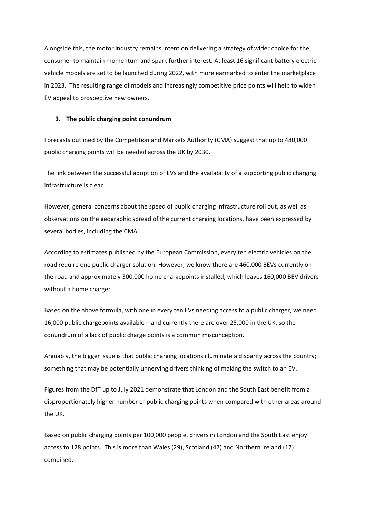Alongside this, the motor industry remains intent on delivering a strategy of wider choice for the consumer to maintain momentum and spark further interest. At least 16 significant battery electric vehicle models are set to be launched during 2022, with more earmarked to enter the marketplace in 2023. The resulting range of models and increasingly competitive price points will help to widen EV appeal to prospective new owners.

#### **3. The public charging point conundrum**

Forecasts outlined by the Competition and Markets Authority (CMA) suggest that up to 480,000 public charging points will be needed across the UK by 2030.

The link between the successful adoption of EVs and the availability of a supporting public charging infrastructure is clear.

However, general concerns about the speed of public charging infrastructure roll out, as well as observations on the geographic spread of the current charging locations, have been expressed by several bodies, including the CMA.

According to estimates published by the European Commission, every ten electric vehicles on the road require one public charger solution. However, we know there are 460,000 BEVs currently on the road and approximately 300,000 home chargepoints installed, which leaves 160,000 BEV drivers without a home charger.

Based on the above formula, with one in every ten EVs needing access to a public charger, we need 16,000 public chargepoints available – and currently there are over 25,000 in the UK, so the conundrum of a lack of public charge points is a common misconception.

Arguably, the bigger issue is that public charging locations illuminate a disparity across the country; something that may be potentially unnerving drivers thinking of making the switch to an EV.

Figures from the DfT up to July 2021 demonstrate that London and the South East benefit from a disproportionately higher number of public charging points when compared with other areas around the UK.

Based on public charging points per 100,000 people, drivers in London and the South East enjoy access to 128 points. This is more than Wales (29), Scotland (47) and Northern Ireland (17) combined.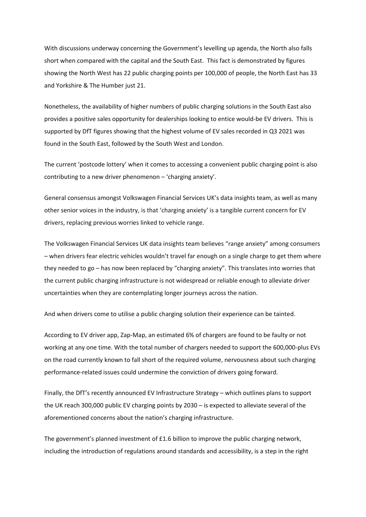With discussions underway concerning the Government's levelling up agenda, the North also falls short when compared with the capital and the South East. This fact is demonstrated by figures showing the North West has 22 public charging points per 100,000 of people, the North East has 33 and Yorkshire & The Humber just 21.

Nonetheless, the availability of higher numbers of public charging solutions in the South East also provides a positive sales opportunity for dealerships looking to entice would-be EV drivers. This is supported by DfT figures showing that the highest volume of EV sales recorded in Q3 2021 was found in the South East, followed by the South West and London.

The current 'postcode lottery' when it comes to accessing a convenient public charging point is also contributing to a new driver phenomenon – 'charging anxiety'.

General consensus amongst Volkswagen Financial Services UK's data insights team, as well as many other senior voices in the industry, is that 'charging anxiety' is a tangible current concern for EV drivers, replacing previous worries linked to vehicle range.

The Volkswagen Financial Services UK data insights team believes "range anxiety" among consumers – when drivers fear electric vehicles wouldn't travel far enough on a single charge to get them where they needed to go – has now been replaced by "charging anxiety". This translates into worries that the current public charging infrastructure is not widespread or reliable enough to alleviate driver uncertainties when they are contemplating longer journeys across the nation.

And when drivers come to utilise a public charging solution their experience can be tainted.

According to EV driver app, Zap-Map, an estimated 6% of chargers are found to be faulty or not working at any one time. With the total number of chargers needed to support the 600,000-plus EVs on the road currently known to fall short of the required volume, nervousness about such charging performance-related issues could undermine the conviction of drivers going forward.

Finally, the DfT's recently announced EV Infrastructure Strategy – which outlines plans to support the UK reach 300,000 public EV charging points by 2030 – is expected to alleviate several of the aforementioned concerns about the nation's charging infrastructure.

The government's planned investment of £1.6 billion to improve the public charging network, including the introduction of regulations around standards and accessibility, is a step in the right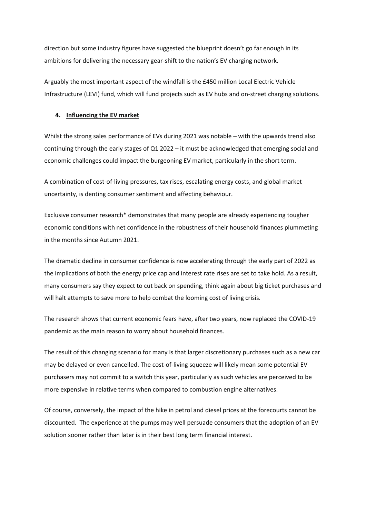direction but some industry figures have suggested the blueprint doesn't go far enough in its ambitions for delivering the necessary gear-shift to the nation's EV charging network.

Arguably the most important aspect of the windfall is the £450 million Local Electric Vehicle Infrastructure (LEVI) fund, which will fund projects such as EV hubs and on-street charging solutions.

#### **4. Influencing the EV market**

Whilst the strong sales performance of EVs during 2021 was notable – with the upwards trend also continuing through the early stages of Q1 2022 – it must be acknowledged that emerging social and economic challenges could impact the burgeoning EV market, particularly in the short term.

A combination of cost-of-living pressures, tax rises, escalating energy costs, and global market uncertainty, is denting consumer sentiment and affecting behaviour.

Exclusive consumer research\* demonstrates that many people are already experiencing tougher economic conditions with net confidence in the robustness of their household finances plummeting in the months since Autumn 2021.

The dramatic decline in consumer confidence is now accelerating through the early part of 2022 as the implications of both the energy price cap and interest rate rises are set to take hold. As a result, many consumers say they expect to cut back on spending, think again about big ticket purchases and will halt attempts to save more to help combat the looming cost of living crisis.

The research shows that current economic fears have, after two years, now replaced the COVID-19 pandemic as the main reason to worry about household finances.

The result of this changing scenario for many is that larger discretionary purchases such as a new car may be delayed or even cancelled. The cost-of-living squeeze will likely mean some potential EV purchasers may not commit to a switch this year, particularly as such vehicles are perceived to be more expensive in relative terms when compared to combustion engine alternatives.

Of course, conversely, the impact of the hike in petrol and diesel prices at the forecourts cannot be discounted. The experience at the pumps may well persuade consumers that the adoption of an EV solution sooner rather than later is in their best long term financial interest.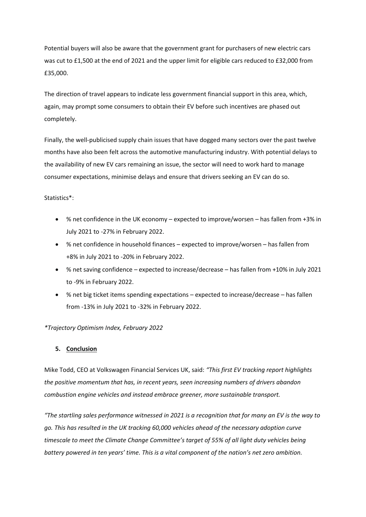Potential buyers will also be aware that the government grant for purchasers of new electric cars was cut to £1,500 at the end of 2021 and the upper limit for eligible cars reduced to £32,000 from £35,000.

The direction of travel appears to indicate less government financial support in this area, which, again, may prompt some consumers to obtain their EV before such incentives are phased out completely.

Finally, the well-publicised supply chain issues that have dogged many sectors over the past twelve months have also been felt across the automotive manufacturing industry. With potential delays to the availability of new EV cars remaining an issue, the sector will need to work hard to manage consumer expectations, minimise delays and ensure that drivers seeking an EV can do so.

#### Statistics\*:

- % net confidence in the UK economy expected to improve/worsen has fallen from +3% in July 2021 to -27% in February 2022.
- % net confidence in household finances expected to improve/worsen has fallen from +8% in July 2021 to -20% in February 2022.
- % net saving confidence expected to increase/decrease has fallen from +10% in July 2021 to -9% in February 2022.
- % net big ticket items spending expectations expected to increase/decrease has fallen from -13% in July 2021 to -32% in February 2022.

#### *\*Trajectory Optimism Index, February 2022*

#### **5. Conclusion**

Mike Todd, CEO at Volkswagen Financial Services UK, said: *"This first EV tracking report highlights the positive momentum that has, in recent years, seen increasing numbers of drivers abandon combustion engine vehicles and instead embrace greener, more sustainable transport.*

*"The startling sales performance witnessed in 2021 is a recognition that for many an EV is the way to go. This has resulted in the UK tracking 60,000 vehicles ahead of the necessary adoption curve timescale to meet the Climate Change Committee's target of 55% of all light duty vehicles being battery powered in ten years' time. This is a vital component of the nation's net zero ambition.*